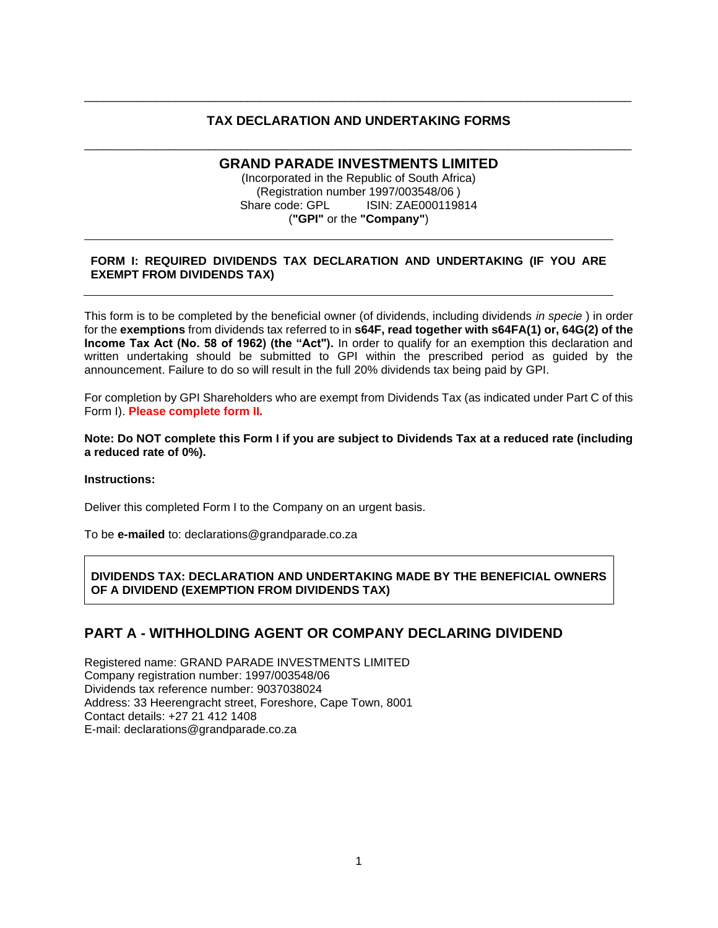#### **TAX DECLARATION AND UNDERTAKING FORMS**

\_\_\_\_\_\_\_\_\_\_\_\_\_\_\_\_\_\_\_\_\_\_\_\_\_\_\_\_\_\_\_\_\_\_\_\_\_\_\_\_\_\_\_\_\_\_\_\_\_\_\_\_\_\_\_\_\_\_\_\_\_\_\_\_\_\_\_\_\_\_\_\_\_\_\_\_\_\_\_\_\_\_\_\_

## \_\_\_\_\_\_\_\_\_\_\_\_\_\_\_\_\_\_\_\_\_\_\_\_\_\_\_\_\_\_\_\_\_\_\_\_\_\_\_\_\_\_\_\_\_\_\_\_\_\_\_\_\_\_\_\_\_\_\_\_\_\_\_\_\_\_\_\_\_\_\_\_\_\_\_\_\_\_\_\_\_\_\_\_ **GRAND PARADE INVESTMENTS LIMITED**

(Incorporated in the Republic of South Africa) (Registration number 1997/003548/06 ) Share code: GPL ISIN: ZAE000119814 (**"GPI"** or the **"Company"**)

#### **FORM I: REQUIRED DIVIDENDS TAX DECLARATION AND UNDERTAKING (IF YOU ARE EXEMPT FROM DIVIDENDS TAX)**

This form is to be completed by the beneficial owner (of dividends, including dividends *in specie* ) in order for the **exemptions** from dividends tax referred to in **s64F, read together with s64FA(1) or, 64G(2) of the Income Tax Act (No. 58 of 1962) (the "Act").** In order to qualify for an exemption this declaration and written undertaking should be submitted to GPI within the prescribed period as guided by the announcement. Failure to do so will result in the full 20% dividends tax being paid by GPI.

For completion by GPI Shareholders who are exempt from Dividends Tax (as indicated under Part C of this Form I). **Please complete form II.**

#### **Note: Do NOT complete this Form I if you are subject to Dividends Tax at a reduced rate (including a reduced rate of 0%).**

#### **Instructions:**

Deliver this completed Form I to the Company on an urgent basis.

To be **e-mailed** to: declarations@grandparade.co.za

**DIVIDENDS TAX: DECLARATION AND UNDERTAKING MADE BY THE BENEFICIAL OWNERS OF A DIVIDEND (EXEMPTION FROM DIVIDENDS TAX)**

## **PART A - WITHHOLDING AGENT OR COMPANY DECLARING DIVIDEND**

Registered name: GRAND PARADE INVESTMENTS LIMITED Company registration number: 1997/003548/06 Dividends tax reference number: 9037038024 Address: 33 Heerengracht street, Foreshore, Cape Town, 8001 Contact details: +27 21 412 1408 E-mail: declarations@grandparade.co.za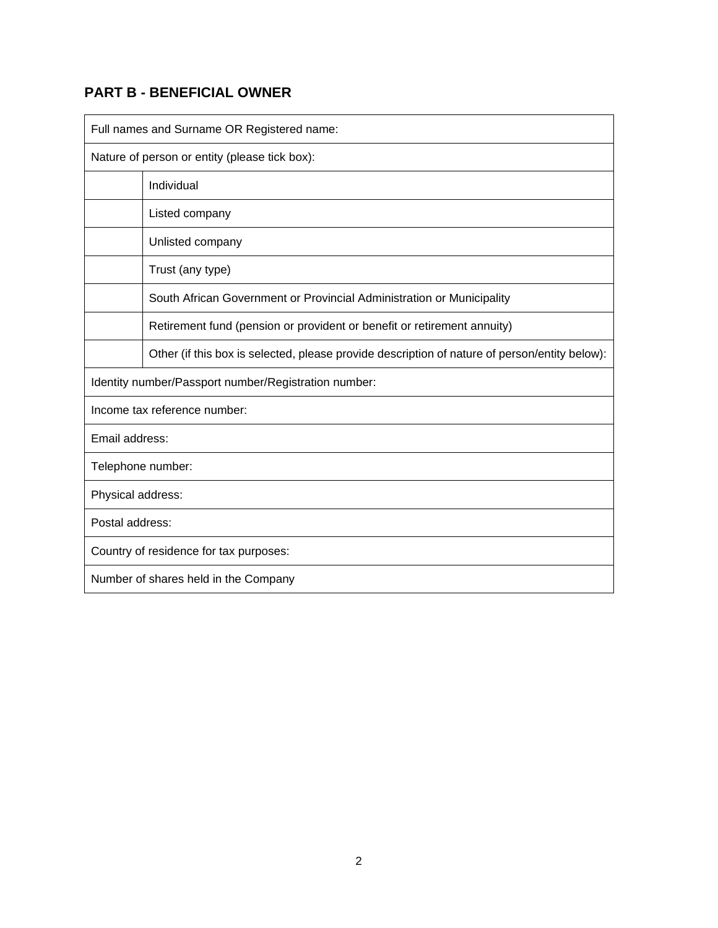# **PART B - BENEFICIAL OWNER**

| Full names and Surname OR Registered name:                                                    |  |  |  |  |
|-----------------------------------------------------------------------------------------------|--|--|--|--|
| Nature of person or entity (please tick box):                                                 |  |  |  |  |
| Individual                                                                                    |  |  |  |  |
| Listed company                                                                                |  |  |  |  |
| Unlisted company                                                                              |  |  |  |  |
| Trust (any type)                                                                              |  |  |  |  |
| South African Government or Provincial Administration or Municipality                         |  |  |  |  |
| Retirement fund (pension or provident or benefit or retirement annuity)                       |  |  |  |  |
| Other (if this box is selected, please provide description of nature of person/entity below): |  |  |  |  |
| Identity number/Passport number/Registration number:                                          |  |  |  |  |
| Income tax reference number:                                                                  |  |  |  |  |
| Email address:                                                                                |  |  |  |  |
| Telephone number:                                                                             |  |  |  |  |
| Physical address:                                                                             |  |  |  |  |
| Postal address:                                                                               |  |  |  |  |
| Country of residence for tax purposes:                                                        |  |  |  |  |
| Number of shares held in the Company                                                          |  |  |  |  |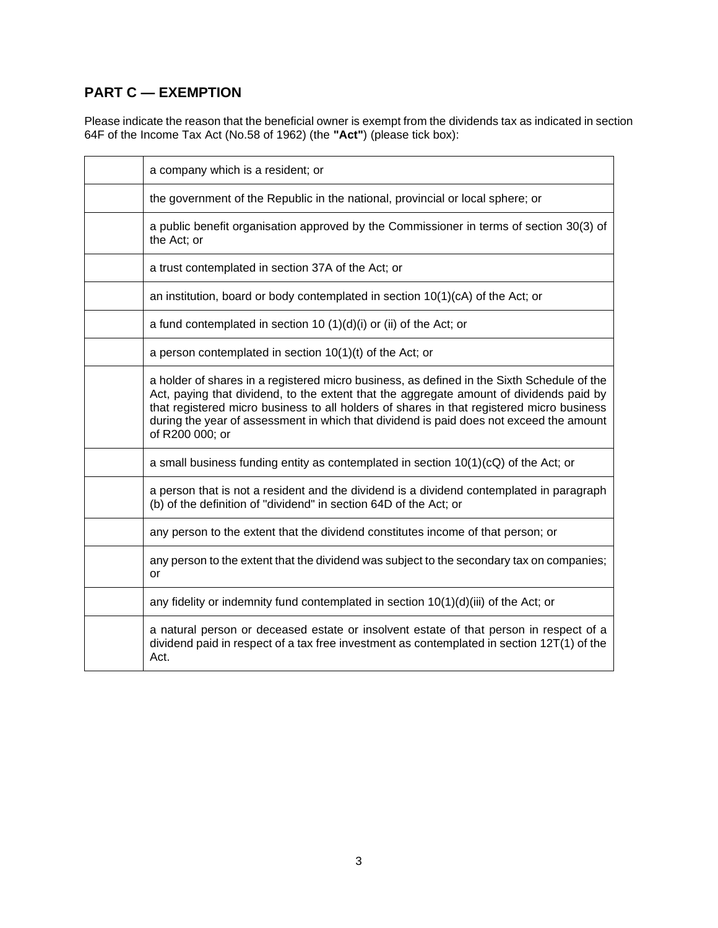# **PART C — EXEMPTION**

Please indicate the reason that the beneficial owner is exempt from the dividends tax as indicated in section 64F of the Income Tax Act (No.58 of 1962) (the **"Act"**) (please tick box):

| a company which is a resident; or                                                                                                                                                                                                                                                                                                                                                                |
|--------------------------------------------------------------------------------------------------------------------------------------------------------------------------------------------------------------------------------------------------------------------------------------------------------------------------------------------------------------------------------------------------|
| the government of the Republic in the national, provincial or local sphere; or                                                                                                                                                                                                                                                                                                                   |
| a public benefit organisation approved by the Commissioner in terms of section 30(3) of<br>the Act; or                                                                                                                                                                                                                                                                                           |
| a trust contemplated in section 37A of the Act; or                                                                                                                                                                                                                                                                                                                                               |
| an institution, board or body contemplated in section 10(1)(cA) of the Act; or                                                                                                                                                                                                                                                                                                                   |
| a fund contemplated in section 10 $(1)(d)(i)$ or (ii) of the Act; or                                                                                                                                                                                                                                                                                                                             |
| a person contemplated in section 10(1)(t) of the Act; or                                                                                                                                                                                                                                                                                                                                         |
| a holder of shares in a registered micro business, as defined in the Sixth Schedule of the<br>Act, paying that dividend, to the extent that the aggregate amount of dividends paid by<br>that registered micro business to all holders of shares in that registered micro business<br>during the year of assessment in which that dividend is paid does not exceed the amount<br>of R200 000; or |
| a small business funding entity as contemplated in section $10(1)(cQ)$ of the Act; or                                                                                                                                                                                                                                                                                                            |
| a person that is not a resident and the dividend is a dividend contemplated in paragraph<br>(b) of the definition of "dividend" in section 64D of the Act; or                                                                                                                                                                                                                                    |
| any person to the extent that the dividend constitutes income of that person; or                                                                                                                                                                                                                                                                                                                 |
| any person to the extent that the dividend was subject to the secondary tax on companies;<br>or                                                                                                                                                                                                                                                                                                  |
| any fidelity or indemnity fund contemplated in section 10(1)(d)(iii) of the Act; or                                                                                                                                                                                                                                                                                                              |
| a natural person or deceased estate or insolvent estate of that person in respect of a<br>dividend paid in respect of a tax free investment as contemplated in section 12T(1) of the<br>Act.                                                                                                                                                                                                     |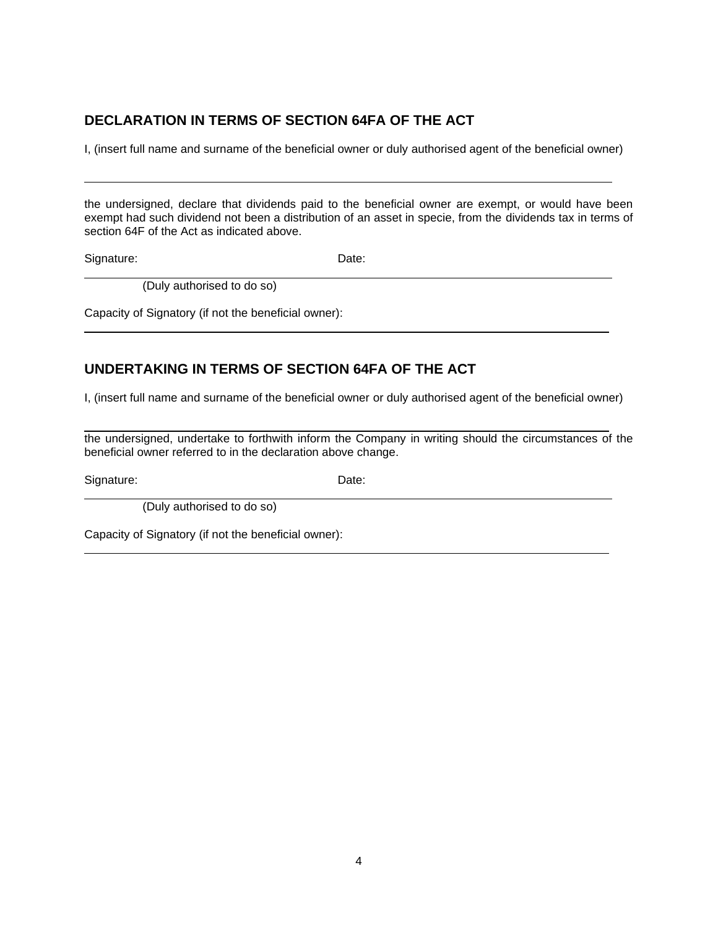## **DECLARATION IN TERMS OF SECTION 64FA OF THE ACT**

I, (insert full name and surname of the beneficial owner or duly authorised agent of the beneficial owner)

the undersigned, declare that dividends paid to the beneficial owner are exempt, or would have been exempt had such dividend not been a distribution of an asset in specie, from the dividends tax in terms of section 64F of the Act as indicated above.

Signature: Date:

(Duly authorised to do so)

Capacity of Signatory (if not the beneficial owner):

# **UNDERTAKING IN TERMS OF SECTION 64FA OF THE ACT**

I, (insert full name and surname of the beneficial owner or duly authorised agent of the beneficial owner)

 the undersigned, undertake to forthwith inform the Company in writing should the circumstances of the beneficial owner referred to in the declaration above change.

Signature: Date: Date:

(Duly authorised to do so)

Capacity of Signatory (if not the beneficial owner):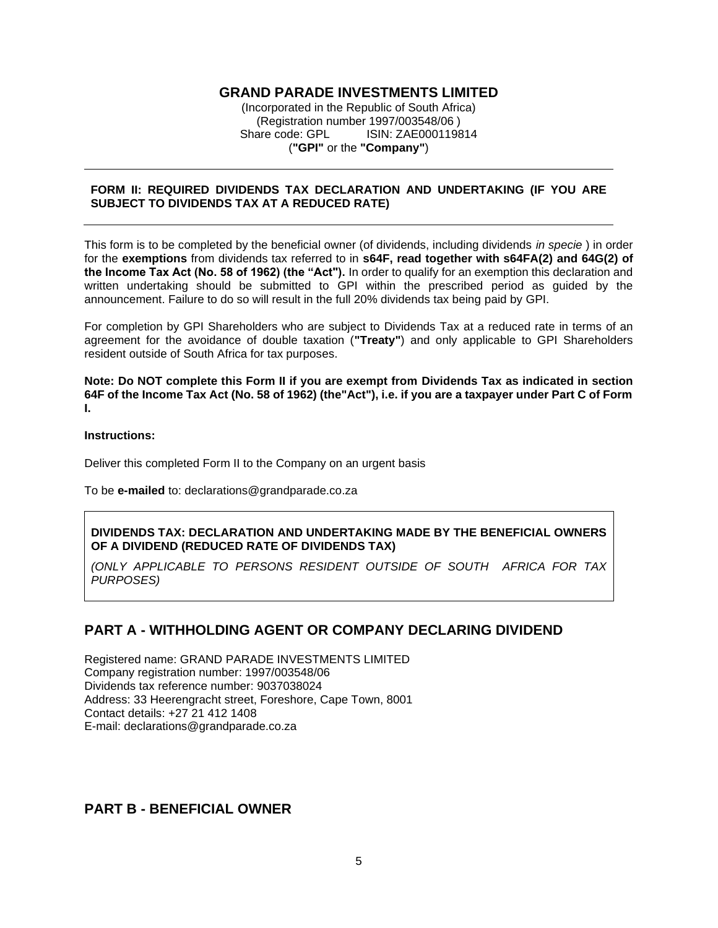#### **GRAND PARADE INVESTMENTS LIMITED**

(Incorporated in the Republic of South Africa) (Registration number 1997/003548/06 ) Share code: GPL ISIN: ZAE000119814 (**"GPI"** or the **"Company"**)

#### **FORM II: REQUIRED DIVIDENDS TAX DECLARATION AND UNDERTAKING (IF YOU ARE SUBJECT TO DIVIDENDS TAX AT A REDUCED RATE)**

This form is to be completed by the beneficial owner (of dividends, including dividends *in specie* ) in order for the **exemptions** from dividends tax referred to in **s64F, read together with s64FA(2) and 64G(2) of the Income Tax Act (No. 58 of 1962) (the "Act").** In order to qualify for an exemption this declaration and written undertaking should be submitted to GPI within the prescribed period as guided by the announcement. Failure to do so will result in the full 20% dividends tax being paid by GPI.

For completion by GPI Shareholders who are subject to Dividends Tax at a reduced rate in terms of an agreement for the avoidance of double taxation (**"Treaty"**) and only applicable to GPI Shareholders resident outside of South Africa for tax purposes.

**Note: Do NOT complete this Form II if you are exempt from Dividends Tax as indicated in section 64F of the Income Tax Act (No. 58 of 1962) (the"Act"), i.e. if you are a taxpayer under Part C of Form I.**

#### **Instructions:**

Deliver this completed Form II to the Company on an urgent basis

To be **e-mailed** to: declarations@grandparade.co.za

#### **DIVIDENDS TAX: DECLARATION AND UNDERTAKING MADE BY THE BENEFICIAL OWNERS OF A DIVIDEND (REDUCED RATE OF DIVIDENDS TAX)**

*(ONLY APPLICABLE TO PERSONS RESIDENT OUTSIDE OF SOUTH AFRICA FOR TAX PURPOSES)*

### **PART A - WITHHOLDING AGENT OR COMPANY DECLARING DIVIDEND**

Registered name: GRAND PARADE INVESTMENTS LIMITED Company registration number: 1997/003548/06 Dividends tax reference number: 9037038024 Address: 33 Heerengracht street, Foreshore, Cape Town, 8001 Contact details: +27 21 412 1408 E-mail: declarations@grandparade.co.za

### **PART B - BENEFICIAL OWNER**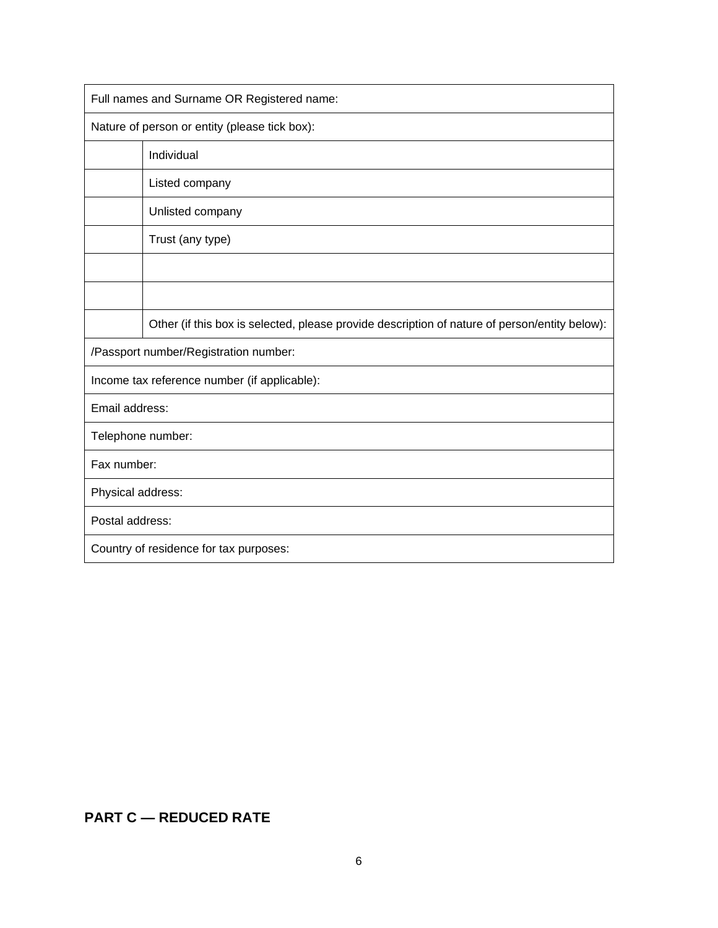| Full names and Surname OR Registered name:    |                                                                                               |  |  |  |
|-----------------------------------------------|-----------------------------------------------------------------------------------------------|--|--|--|
| Nature of person or entity (please tick box): |                                                                                               |  |  |  |
|                                               | Individual                                                                                    |  |  |  |
|                                               | Listed company                                                                                |  |  |  |
|                                               | Unlisted company                                                                              |  |  |  |
|                                               | Trust (any type)                                                                              |  |  |  |
|                                               |                                                                                               |  |  |  |
|                                               |                                                                                               |  |  |  |
|                                               | Other (if this box is selected, please provide description of nature of person/entity below): |  |  |  |
| /Passport number/Registration number:         |                                                                                               |  |  |  |
| Income tax reference number (if applicable):  |                                                                                               |  |  |  |
| Email address:                                |                                                                                               |  |  |  |
| Telephone number:                             |                                                                                               |  |  |  |
| Fax number:                                   |                                                                                               |  |  |  |
| Physical address:                             |                                                                                               |  |  |  |
| Postal address:                               |                                                                                               |  |  |  |
| Country of residence for tax purposes:        |                                                                                               |  |  |  |

# **PART C — REDUCED RATE**